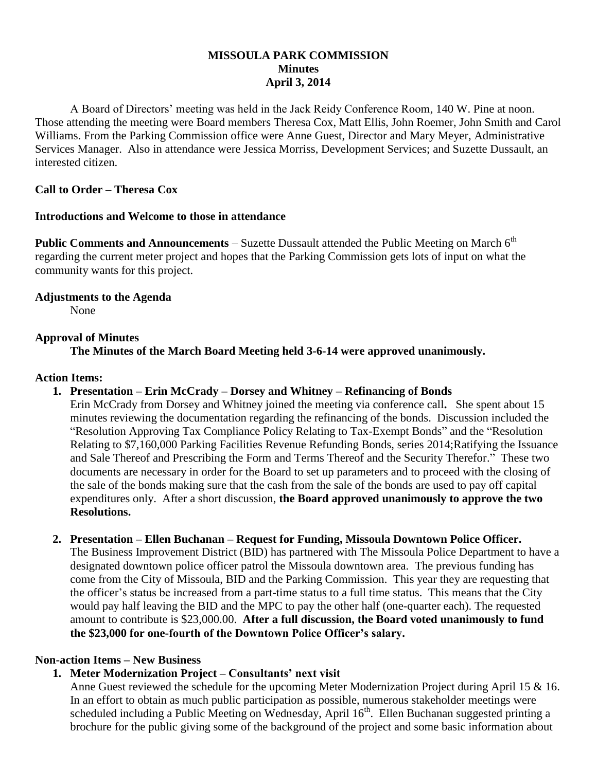## **MISSOULA PARK COMMISSION Minutes April 3, 2014**

A Board of Directors' meeting was held in the Jack Reidy Conference Room, 140 W. Pine at noon. Those attending the meeting were Board members Theresa Cox, Matt Ellis, John Roemer, John Smith and Carol Williams. From the Parking Commission office were Anne Guest, Director and Mary Meyer, Administrative Services Manager. Also in attendance were Jessica Morriss, Development Services; and Suzette Dussault, an interested citizen.

# **Call to Order – Theresa Cox**

### **Introductions and Welcome to those in attendance**

**Public Comments and Announcements** – Suzette Dussault attended the Public Meeting on March 6<sup>th</sup> regarding the current meter project and hopes that the Parking Commission gets lots of input on what the community wants for this project.

## **Adjustments to the Agenda**

None

## **Approval of Minutes**

**The Minutes of the March Board Meeting held 3-6-14 were approved unanimously.**

### **Action Items:**

### **1. Presentation – Erin McCrady – Dorsey and Whitney – Refinancing of Bonds**

Erin McCrady from Dorsey and Whitney joined the meeting via conference call**.** She spent about 15 minutes reviewing the documentation regarding the refinancing of the bonds. Discussion included the "Resolution Approving Tax Compliance Policy Relating to Tax-Exempt Bonds" and the "Resolution Relating to \$7,160,000 Parking Facilities Revenue Refunding Bonds, series 2014;Ratifying the Issuance and Sale Thereof and Prescribing the Form and Terms Thereof and the Security Therefor." These two documents are necessary in order for the Board to set up parameters and to proceed with the closing of the sale of the bonds making sure that the cash from the sale of the bonds are used to pay off capital expenditures only. After a short discussion, **the Board approved unanimously to approve the two Resolutions.**

### **2. Presentation – Ellen Buchanan – Request for Funding, Missoula Downtown Police Officer.**

The Business Improvement District (BID) has partnered with The Missoula Police Department to have a designated downtown police officer patrol the Missoula downtown area. The previous funding has come from the City of Missoula, BID and the Parking Commission. This year they are requesting that the officer's status be increased from a part-time status to a full time status. This means that the City would pay half leaving the BID and the MPC to pay the other half (one-quarter each). The requested amount to contribute is \$23,000.00. **After a full discussion, the Board voted unanimously to fund the \$23,000 for one-fourth of the Downtown Police Officer's salary.**

### **Non-action Items – New Business**

## **1. Meter Modernization Project – Consultants' next visit**

Anne Guest reviewed the schedule for the upcoming Meter Modernization Project during April 15 & 16. In an effort to obtain as much public participation as possible, numerous stakeholder meetings were scheduled including a Public Meeting on Wednesday, April 16<sup>th</sup>. Ellen Buchanan suggested printing a brochure for the public giving some of the background of the project and some basic information about